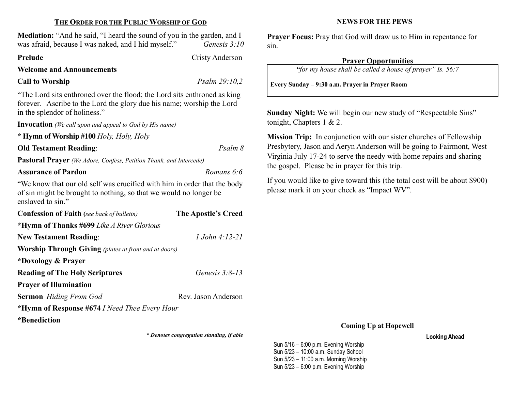## THE ORDER FOR THE PUBLIC WORSHIP OF GOD

Mediation: "And he said, "I heard the sound of you in the garden, and I was afraid, because I was naked, and I hid myself." Genesis 3:10

#### Prelude Cristy Anderson

Welcome and Announcements

# Call to Worship  $P_{\text{Salm}} 29:10,2$

"The Lord sits enthroned over the flood; the Lord sits enthroned as king forever. Ascribe to the Lord the glory due his name; worship the Lord in the splendor of holiness."

Invocation (We call upon and appeal to God by His name)

\* Hymn of Worship #100 Holy, Holy, Holy

Old Testament Reading: Psalm 8

Pastoral Prayer (We Adore, Confess, Petition Thank, and Intercede)

## Assurance of Pardon **Romans 6:6** Romans 6:6

"We know that our old self was crucified with him in order that the body of sin might be brought to nothing, so that we would no longer be enslaved to sin."

| <b>Confession of Faith</b> (see back of bulletin)            | The Apostle's Creed |  |  |  |
|--------------------------------------------------------------|---------------------|--|--|--|
| *Hymn of Thanks #699 Like A River Glorious                   |                     |  |  |  |
| <b>New Testament Reading:</b>                                | 1 John 4:12-21      |  |  |  |
| <b>Worship Through Giving</b> (plates at front and at doors) |                     |  |  |  |
| *Doxology & Prayer                                           |                     |  |  |  |
| <b>Reading of The Holy Scriptures</b>                        | Genesis $3:8-13$    |  |  |  |
| <b>Prayer of Illumination</b>                                |                     |  |  |  |
| <b>Sermon</b> Hiding From God                                | Rev. Jason Anderson |  |  |  |
| *Hymn of Response #674 <i>I Need Thee Every Hour</i>         |                     |  |  |  |
| .<br>$\cdot$ $\sim$ $\sim$                                   |                     |  |  |  |

\*Benediction

\* Denotes congregation standing, if able

### NEWS FOR THE PEWS

Prayer Focus: Pray that God will draw us to Him in repentance for sin.

## Prayer Opportunities

"for my house shall be called a house of prayer" Is. 56:7

Every Sunday – 9:30 a.m. Prayer in Prayer Room

Sunday Night: We will begin our new study of "Respectable Sins" tonight, Chapters 1 & 2.

Mission Trip: In conjunction with our sister churches of Fellowship Presbytery, Jason and Aeryn Anderson will be going to Fairmont, West Virginia July 17-24 to serve the needy with home repairs and sharing the gospel. Please be in prayer for this trip.

If you would like to give toward this (the total cost will be about \$900) please mark it on your check as "Impact WV".

#### Coming Up at Hopewell

Looking Ahead

Sun 5/16 – 6:00 p.m. Evening Worship Sun 5/23 – 10:00 a.m. Sunday School Sun 5/23 – 11:00 a.m. Morning Worship Sun 5/23 – 6:00 p.m. Evening Worship